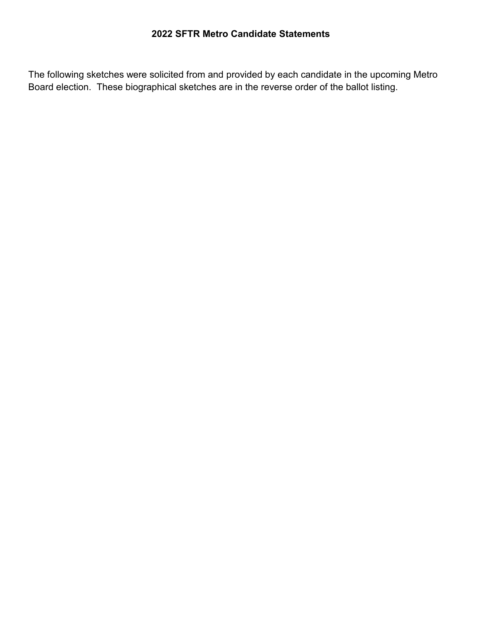The following sketches were solicited from and provided by each candidate in the upcoming Metro Board election. These biographical sketches are in the reverse order of the ballot listing.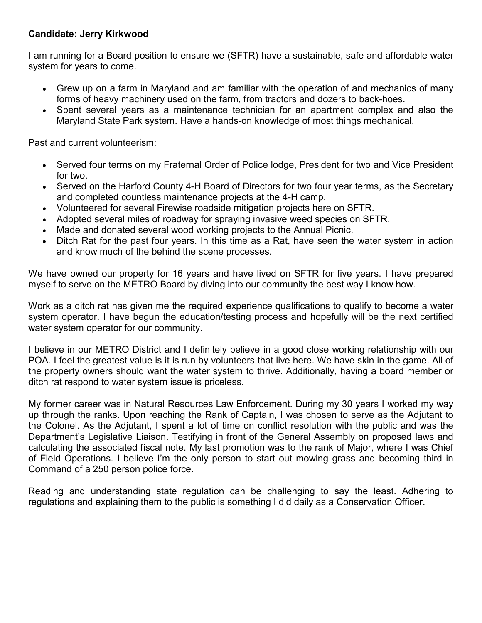### **Candidate: Jerry Kirkwood**

I am running for a Board position to ensure we (SFTR) have a sustainable, safe and affordable water system for years to come.

- Grew up on a farm in Maryland and am familiar with the operation of and mechanics of many forms of heavy machinery used on the farm, from tractors and dozers to back-hoes.
- Spent several years as a maintenance technician for an apartment complex and also the Maryland State Park system. Have a hands-on knowledge of most things mechanical.

Past and current volunteerism:

- Served four terms on my Fraternal Order of Police lodge, President for two and Vice President for two.
- Served on the Harford County 4-H Board of Directors for two four year terms, as the Secretary and completed countless maintenance projects at the 4-H camp.
- Volunteered for several Firewise roadside mitigation projects here on SFTR.
- Adopted several miles of roadway for spraying invasive weed species on SFTR.
- Made and donated several wood working projects to the Annual Picnic.
- Ditch Rat for the past four years. In this time as a Rat, have seen the water system in action and know much of the behind the scene processes.

We have owned our property for 16 years and have lived on SFTR for five years. I have prepared myself to serve on the METRO Board by diving into our community the best way I know how.

Work as a ditch rat has given me the required experience qualifications to qualify to become a water system operator. I have begun the education/testing process and hopefully will be the next certified water system operator for our community.

I believe in our METRO District and I definitely believe in a good close working relationship with our POA. I feel the greatest value is it is run by volunteers that live here. We have skin in the game. All of the property owners should want the water system to thrive. Additionally, having a board member or ditch rat respond to water system issue is priceless.

My former career was in Natural Resources Law Enforcement. During my 30 years I worked my way up through the ranks. Upon reaching the Rank of Captain, I was chosen to serve as the Adjutant to the Colonel. As the Adjutant, I spent a lot of time on conflict resolution with the public and was the Department's Legislative Liaison. Testifying in front of the General Assembly on proposed laws and calculating the associated fiscal note. My last promotion was to the rank of Major, where I was Chief of Field Operations. I believe I'm the only person to start out mowing grass and becoming third in Command of a 250 person police force.

Reading and understanding state regulation can be challenging to say the least. Adhering to regulations and explaining them to the public is something I did daily as a Conservation Officer.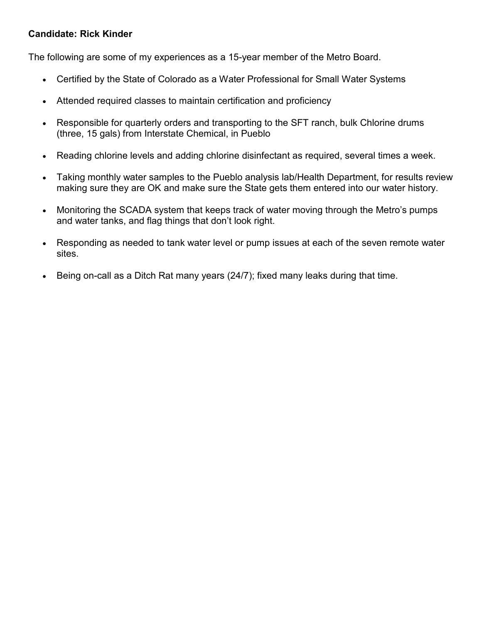## **Candidate: Rick Kinder**

The following are some of my experiences as a 15-year member of the Metro Board.

- Certified by the State of Colorado as a Water Professional for Small Water Systems
- Attended required classes to maintain certification and proficiency
- Responsible for quarterly orders and transporting to the SFT ranch, bulk Chlorine drums (three, 15 gals) from Interstate Chemical, in Pueblo
- Reading chlorine levels and adding chlorine disinfectant as required, several times a week.
- Taking monthly water samples to the Pueblo analysis lab/Health Department, for results review making sure they are OK and make sure the State gets them entered into our water history.
- Monitoring the SCADA system that keeps track of water moving through the Metro's pumps and water tanks, and flag things that don't look right.
- Responding as needed to tank water level or pump issues at each of the seven remote water sites.
- Being on-call as a Ditch Rat many years (24/7); fixed many leaks during that time.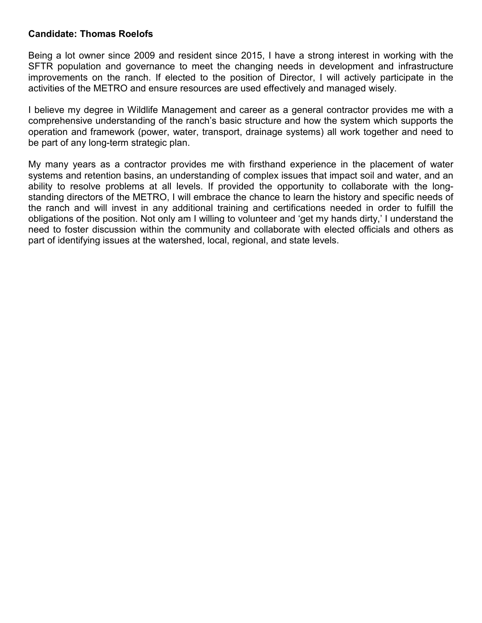#### **Candidate: Thomas Roelofs**

Being a lot owner since 2009 and resident since 2015, I have a strong interest in working with the SFTR population and governance to meet the changing needs in development and infrastructure improvements on the ranch. If elected to the position of Director, I will actively participate in the activities of the METRO and ensure resources are used effectively and managed wisely.

I believe my degree in Wildlife Management and career as a general contractor provides me with a comprehensive understanding of the ranch's basic structure and how the system which supports the operation and framework (power, water, transport, drainage systems) all work together and need to be part of any long-term strategic plan.

My many years as a contractor provides me with firsthand experience in the placement of water systems and retention basins, an understanding of complex issues that impact soil and water, and an ability to resolve problems at all levels. If provided the opportunity to collaborate with the longstanding directors of the METRO, I will embrace the chance to learn the history and specific needs of the ranch and will invest in any additional training and certifications needed in order to fulfill the obligations of the position. Not only am I willing to volunteer and 'get my hands dirty,' I understand the need to foster discussion within the community and collaborate with elected officials and others as part of identifying issues at the watershed, local, regional, and state levels.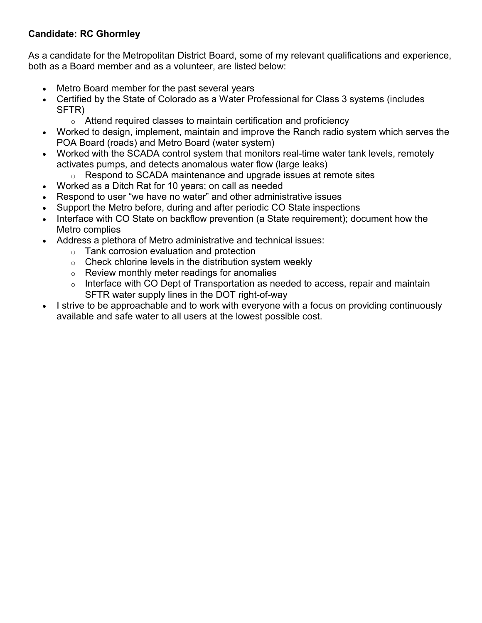# **Candidate: RC Ghormley**

As a candidate for the Metropolitan District Board, some of my relevant qualifications and experience, both as a Board member and as a volunteer, are listed below:

- Metro Board member for the past several years
- Certified by the State of Colorado as a Water Professional for Class 3 systems (includes SFTR)
	- $\circ$  Attend required classes to maintain certification and proficiency
- Worked to design, implement, maintain and improve the Ranch radio system which serves the POA Board (roads) and Metro Board (water system)
- Worked with the SCADA control system that monitors real-time water tank levels, remotely activates pumps, and detects anomalous water flow (large leaks)
	- o Respond to SCADA maintenance and upgrade issues at remote sites
- Worked as a Ditch Rat for 10 years; on call as needed
- Respond to user "we have no water" and other administrative issues
- Support the Metro before, during and after periodic CO State inspections
- Interface with CO State on backflow prevention (a State requirement); document how the Metro complies
- Address a plethora of Metro administrative and technical issues:
	- $\circ$  Tank corrosion evaluation and protection
	- $\circ$  Check chlorine levels in the distribution system weekly
	- o Review monthly meter readings for anomalies
	- $\circ$  Interface with CO Dept of Transportation as needed to access, repair and maintain SFTR water supply lines in the DOT right-of-way
- I strive to be approachable and to work with everyone with a focus on providing continuously available and safe water to all users at the lowest possible cost.